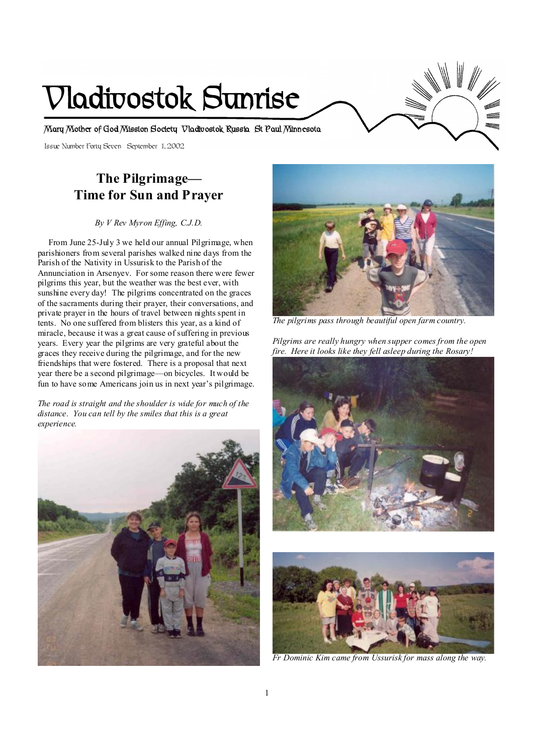# **Vladivostok Sunrise**

**Mary Mother of God Mission Society Vladivostok Russia St Paul Minnesota** 

Issue Number Forty Seven September 1, 2002

# **The Pilgrimage— Time for Sun and Prayer**

#### *By V Rev Myron Effing, C.J.D.*

 From June 25-July 3 we held our annual Pilgrimage, when parishioners from several parishes walked nine days from the Parish of the Nativity in Ussurisk to the Parish of the Annunciation in Arsenyev. For some reason there were fewer pilgrims this year, but the weather was the best ever, with sunshine every day! The pilgrims concentrated on the graces of the sacraments during their prayer, their conversations, and private prayer in the hours of travel between nights spent in tents. No one suffered from blisters this year, as a kind of miracle, because it was a great cause of suffering in previous years. Every year the pilgrims are very grateful about the graces they receive during the pilgrimage, and for the new friendships that were fostered. There is a proposal that next year there be a second pilgrimage—on bicycles. It would be fun to have some Americans join us in next year's pilgrimage.

*The road is straight and the shoulder is wide for much of the distance. You can tell by the smiles that this is a great experience.* 





*The pilgrims pass through beautiful open farm country.* 

*Pilgrims are really hungry when supper comes from the open fire. Here it looks like they fell asleep during the Rosary!* 





*Fr Dominic Kim came from Ussurisk for mass along the way.*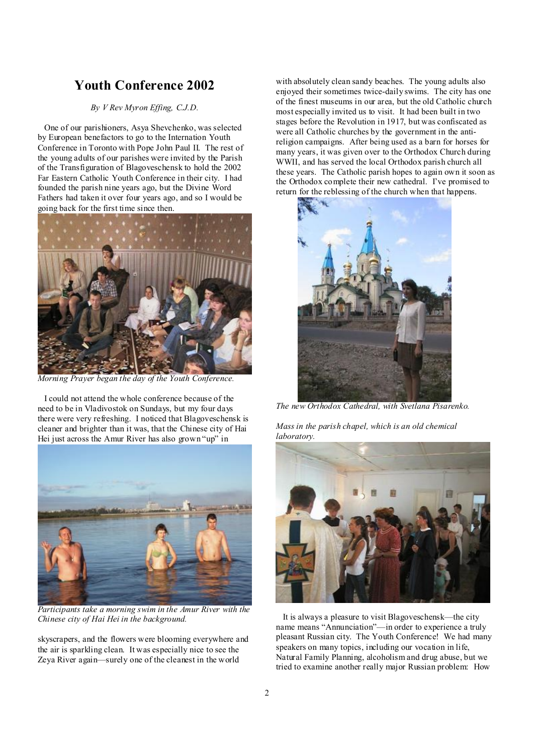# **Youth Conference 2002**

#### *By V Rev Myron Effing, C.J.D.*

One of our parishioners, Asya Shevchenko, was selected by European benefactors to go to the Internation Youth Conference in Toronto with Pope John Paul II. The rest of the young adults of our parishes were invited by the Parish of the Transfiguration of Blagoveschensk to hold the 2002 Far Eastern Catholic Youth Conference in their city. I had founded the parish nine years ago, but the Divine Word Fathers had taken it over four years ago, and so I would be going back for the first time since then.



*Morning Prayer began the day of the Youth Conference.* 

I could not attend the whole conference because of the need to be in Vladivostok on Sundays, but my four days there were very refreshing. I noticed that Blagoveschensk is cleaner and brighter than it was, that the Chinese city of Hai Hei just across the Amur River has also grown "up" in



*Participants take a morning swim in the Amur River with the Chinese city of Hai Hei in the background.* 

skyscrapers, and the flowers were blooming everywhere and the air is sparkling clean. It was especially nice to see the Zeya River again—surely one of the cleanest in the world

with absolutely clean sandy beaches. The young adults also enjoyed their sometimes twice-daily swims. The city has one of the finest museums in our area, but the old Catholic church most especially invited us to visit. It had been built in two stages before the Revolution in 1917, but was confiscated as were all Catholic churches by the government in the antireligion campaigns. After being used as a barn for horses for many years, it was given over to the Orthodox Church during WWII, and has served the local Orthodox parish church all these years. The Catholic parish hopes to again own it soon as the Orthodox complete their new cathedral. I've promised to return for the reblessing of the church when that happens.



*The new Orthodox Cathedral, with Svetlana Pisarenko.* 

*Mass in the parish chapel, which is an old chemical laboratory.*



 It is always a pleasure to visit Blagoveschensk—the city name means "Annunciation"—in order to experience a truly pleasant Russian city. The Youth Conference! We had many speakers on many topics, including our vocation in life, Natural Family Planning, alcoholism and drug abuse, but we tried to examine another really major Russian problem: How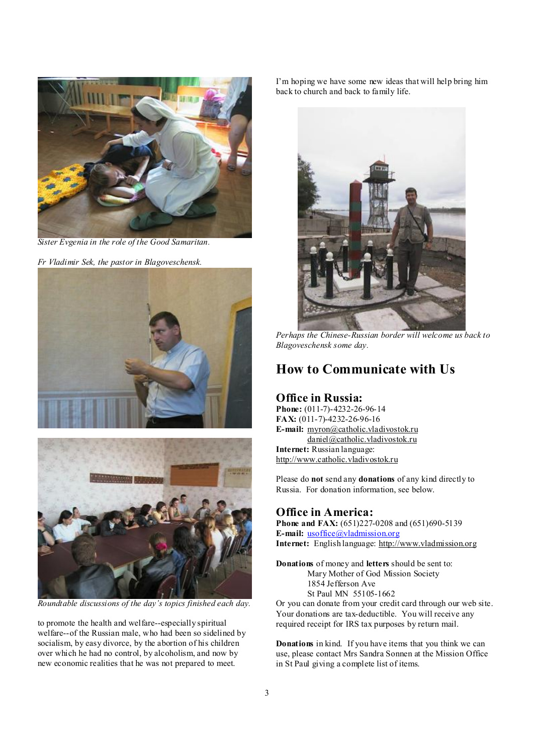

*Sister Evgenia in the role of the Good Samaritan.* 

*Fr Vladimir Sek, the pastor in Blagoveschensk.* 





*Roundtable discussions of the day's topics finished each day.* 

to promote the health and welfare--especially spiritual welfare--of the Russian male, who had been so sidelined by socialism, by easy divorce, by the abortion of his children over which he had no control, by alcoholism, and now by new economic realities that he was not prepared to meet.

I'm hoping we have some new ideas that will help bring him back to church and back to family life.



*Perhaps the Chinese-Russian border will welcome us back to Blagoveschensk some day.* 

# **How to Communicate with Us**

#### **Office in Russia:**

**Phone:** (011-7)-4232-26-96-14 **FAX:** (011-7)-4232-26-96-16 **E-mail:** [myron@catholic.vladivostok.ru](mailto:myron@catholic.vladivostok.ru) [daniel@catholic.vladivostok.ru](mailto:daniel@catholic.vladivostok.ru) **Internet:** Russian language: <http://www.catholic.vladivostok.ru>

Please do **not** send any **donations** of any kind directly to Russia. For donation information, see below.

#### **Office in America:**

**Phone and FAX:** (651)227-0208 and (651)690-5139 **E-mail:** [usoffice@vladmission.org](mailto:usoffice@vladmission.org) **Internet:** English language: <http://www.vladmission.org>

**Donations** of money and **letters** should be sent to: Mary Mother of God Mission Society 1854 Jefferson Ave St Paul MN 55105-1662

Or you can donate from your credit card through our web site. Your donations are tax-deductible. You will receive any required receipt for IRS tax purposes by return mail.

**Donations** in kind. If you have items that you think we can use, please contact Mrs Sandra Sonnen at the Mission Office in St Paul giving a complete list of items.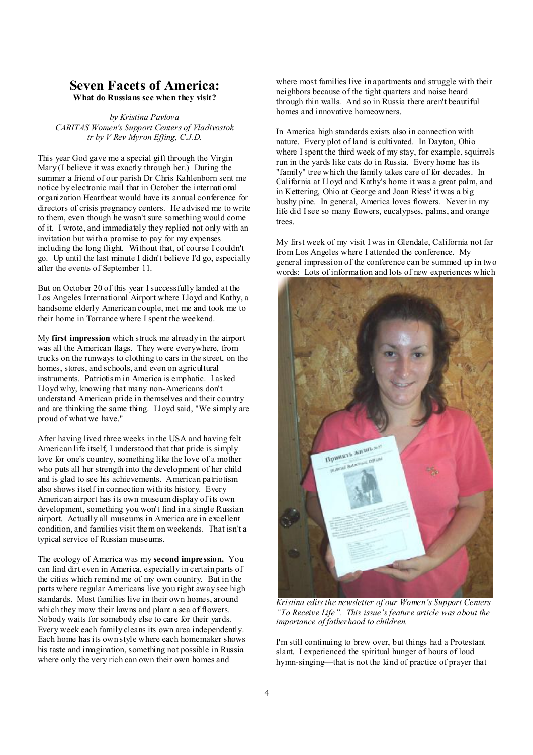#### **Seven Facets of America: What do Russians see when they visit?**

*by Kristina Pavlova CARITAS Women's Support Centers of Vladivostok tr by V Rev Myron Effing, C.J.D.* 

This year God gave me a special gift through the Virgin Mary (I believe it was exactly through her.) During the summer a friend of our parish Dr Chris Kahlenborn sent me notice by electronic mail that in October the international organization Heartbeat would have its annual conference for directors of crisis pregnancy centers. He advised me to write to them, even though he wasn't sure something would come of it. I wrote, and immediately they replied not only with an invitation but with a promise to pay for my expenses including the long flight. Without that, of course I couldn't go. Up until the last minute I didn't believe I'd go, especially after the events of September 11.

But on October 20 of this year Isuccessfully landed at the Los Angeles International Airport where Lloyd and Kathy, a handsome elderly American couple, met me and took me to their home in Torrance where I spent the weekend.

My **first impression** which struck me already in the airport was all the American flags. They were everywhere, from trucks on the runways to clothing to cars in the street, on the homes, stores, and schools, and even on agricultural instruments. Patriotism in America is emphatic. I asked Lloyd why, knowing that many non-Americans don't understand American pride in themselves and their country and are thinking the same thing. Lloyd said, "We simply are proud of what we have."

After having lived three weeks in the USA and having felt American life itself, I understood that that pride is simply love for one's country, something like the love of a mother who puts all her strength into the development of her child and is glad to see his achievements. American patriotism also shows itself in connection with its history. Every American airport has its own museum display of its own development, something you won't find in a single Russian airport. Actually all museums in America are in excellent condition, and families visit them on weekends. That isn't a typical service of Russian museums.

The ecology of America was my **second impression.** You can find dirt even in America, especially in certain parts of the cities which remind me of my own country. But in the parts where regular Americans live you right away see high standards. Most families live in their own homes, around which they mow their lawns and plant a sea of flowers. Nobody waits for somebody else to care for their yards. Every week each family cleans its own area independently. Each home has its own style where each homemaker shows his taste and imagination, something not possible in Russia where only the very rich can own their own homes and

where most families live in apartments and struggle with their neighbors because of the tight quarters and noise heard through thin walls. And so in Russia there aren't beautiful homes and innovative homeowners.

In America high standards exists also in connection with nature. Every plot of land is cultivated. In Dayton, Ohio where I spent the third week of my stay, for example, squirrels run in the yards like cats do in Russia. Every home has its "family" tree which the family takes care of for decades. In California at Lloyd and Kathy's home it was a great palm, and in Kettering, Ohio at George and Joan Riess' it was a big bushy pine. In general, America loves flowers. Never in my life did Isee so many flowers, eucalypses, palms, and orange trees.

My first week of my visit I was in Glendale, California not far from Los Angeles where I attended the conference. My general impression of the conference can be summed up in two words: Lots of information and lots of new experiences which



*Kristina edits the newsletter of our Women's Support Centers "To Receive Life". This issue's feature article was about the importance of fatherhood to children.* 

I'm still continuing to brew over, but things had a Protestant slant. I experienced the spiritual hunger of hours of loud hymn-singing—that is not the kind of practice of prayer that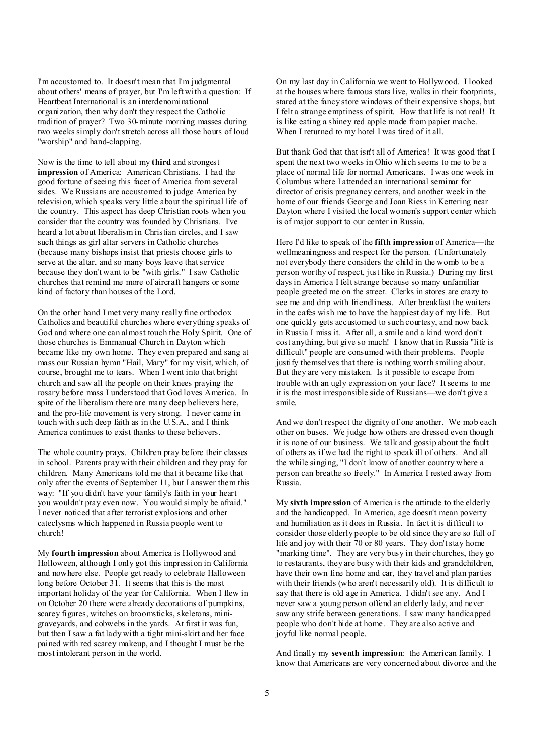I'm accustomed to. It doesn't mean that I'm judgmental about others' means of prayer, but I'm left with a question: If Heartbeat International is an interdenominational organization, then why don't they respect the Catholic tradition of prayer? Two 30-minute morning masses during two weeks simply don'tstretch across all those hours of loud "worship" and hand-clapping.

Now is the time to tell about my **third** and strongest **impression** of America: American Christians. I had the good fortune of seeing this facet of America from several sides. We Russians are accustomed to judge America by television, which speaks very little about the spiritual life of the country. This aspect has deep Christian roots when you consider that the country was founded by Christians. I've heard a lot about liberalism in Christian circles, and I saw such things as girl altar servers in Catholic churches (because many bishops insist that priests choose girls to serve at the altar, and so many boys leave that service because they don't want to be "with girls." I saw Catholic churches that remind me more of aircraft hangers or some kind of factory than houses of the Lord.

On the other hand I met very many really fine orthodox Catholics and beautiful churches where everything speaks of God and where one can almost touch the Holy Spirit. One of those churches is Emmanual Church in Dayton which became like my own home. They even prepared and sang at mass our Russian hymn "Hail, Mary" for my visit, which, of course, brought me to tears. When I went into that bright church and saw all the people on their knees praying the rosary before mass I understood that God loves America. In spite of the liberalism there are many deep believers here, and the pro-life movement is very strong. I never came in touch with such deep faith as in the U.S.A., and I think America continues to exist thanks to these believers.

The whole country prays. Children pray before their classes in school. Parents pray with their children and they pray for children. Many Americans told me that it became like that only after the events of September 11, but I answer them this way: "If you didn't have your family's faith in your heart you wouldn't pray even now. You would simply be afraid." I never noticed that after terrorist explosions and other cateclysms which happened in Russia people went to church!

My **fourth impression** about America is Hollywood and Holloween, although I only got this impression in California and nowhere else. People get ready to celebrate Halloween long before October 31. It seems that this is the most important holiday of the year for California. When I flew in on October 20 there were already decorations of pumpkins, scarey figures, witches on broomsticks, skeletons, minigraveyards, and cobwebs in the yards. At first it was fun, but then Isaw a fat lady with a tight mini-skirt and her face pained with red scarey makeup, and I thought I must be the most intolerant person in the world.

On my last day in California we went to Hollywood. I looked at the houses where famous stars live, walks in their footprints, stared at the fancy store windows of their expensive shops, but I felt a strange emptiness of spirit. How that life is not real! It is like eating a shiney red apple made from papier mache. When I returned to my hotel I was tired of it all.

But thank God that that isn't all of America! It was good that I spent the next two weeks in Ohio which seems to me to be a place of normal life for normal Americans. I was one week in Columbus where I attended an international seminar for director of crisis pregnancy centers, and another week in the home of our friends George and Joan Riess in Kettering near Dayton where I visited the local women's support center which is of major support to our center in Russia.

Here I'd like to speak of the **fifth impression** of America—the wellmeaningness and respect for the person. (Unfortunately not everybody there considers the child in the womb to be a person worthy of respect, just like in Russia.) During my first days in America I felt strange because so many unfamiliar people greeted me on the street. Clerks in stores are crazy to see me and drip with friendliness. After breakfast the waiters in the cafes wish me to have the happiest day of my life. But one quickly gets accustomed to such courtesy, and now back in Russia I miss it. After all, a smile and a kind word don't cost anything, but give so much! I know that in Russia "life is difficult" people are consumed with their problems. People justify themselves that there is nothing worth smiling about. But they are very mistaken. Is it possible to escape from trouble with an ugly expression on your face? It seems to me it is the most irresponsible side of Russians—we don't give a smile.

And we don't respect the dignity of one another. We mob each other on buses. We judge how others are dressed even though it is none of our business. We talk and gossip about the fault of others as if we had the right to speak ill of others. And all the while singing, "I don't know of another country where a person can breathe so freely." In America I rested away from Russia.

My **sixth impression** of America is the attitude to the elderly and the handicapped. In America, age doesn't mean poverty and humiliation as it does in Russia. In fact it is difficult to consider those elderly people to be old since they are so full of life and joy with their 70 or 80 years. They don'tstay home "marking time". They are very busy in their churches, they go to restaurants, they are busy with their kids and grandchildren, have their own fine home and car, they travel and plan parties with their friends (who aren't necessarily old). It is difficult to say that there is old age in America. I didn't see any. And I never saw a young person offend an elderly lady, and never saw any strife between generations. I saw many handicapped people who don't hide at home. They are also active and joyful like normal people.

And finally my **seventh impression**: the American family. I know that Americans are very concerned about divorce and the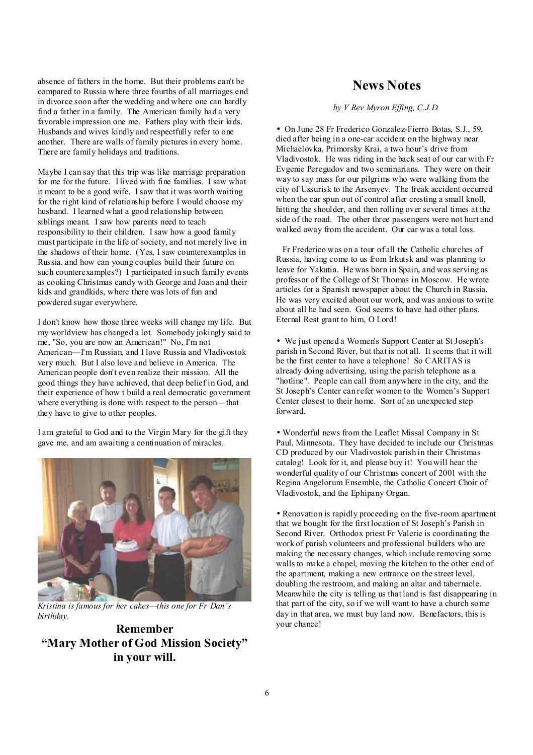absence of fathers in the home. But their problems can't be compared to Russia where three fourths of all marriages end in divorce soon after the wedding and where one can hardly find a father in a family. The American family had a very favorable impression one me. Fathers play with their kids. Husbands and wives kindly and respectfully refer to one another. There are walls of family pictures in every home. There are family holidays and traditions.

Maybe I can say that this trip was like marriage preparation for me for the future. I lived with fine families. I saw what it meant to be a good wife. I saw that it was worth waiting for the right kind of relationship before I would choose my husband. I learned what a good relationship between siblings meant. I saw how parents need to teach responsibility to their children. I saw how a good family must participate in the life of society, and not merely live in the shadows of their home. (Yes, I saw counterexamples in Russia, and how can young couples build their future on such counterexamples?) I participated in such family events as cooking Christmas candy with George and Joan and their kids and grandkids, where there was lots of fun and powdered sugar everywhere.

I don't know how those three weeks will change my life. But my worldview has changed a lot. Somebody jokingly said to me, "So, you are now an American!" No, I'm not American—I'm Russian, and I love Russia and Vladivostok very much. But I also love and believe in America. The American people don't even realize their mission. All the good things they have achieved, that deep belief in God, and their experience of how t build a real democratic government where everything is done with respect to the person—that they have to give to other peoples.

I am grateful to God and to the Virgin Mary for the gift they gave me, and am awaiting a continuation of miracles.



*Kristina is famous for her cakes—this one for Fr Dan's birthday.* 

**Remember "Mary Mother of God Mission Society" in your will.** 

### **News Notes**

#### *by V Rev Myron Effing, C.J.D.*

• On June 28 Fr Frederico Gonzalez-Fierro Botas, S.J., 59, died after being in a one-car accident on the highway near Michaelovka, Primorsky Krai, a two hour's drive from Vladivostok. He was riding in the back seat of our car with Fr Evgenie Peregudov and two seminarians. They were on their way to say mass for our pilgrims who were walking from the city of Ussurisk to the Arsenyev. The freak accident occurred when the car spun out of control after cresting a small knoll. hitting the shoulder, and then rolling over several times at the side of the road. The other three passengers were not hurt and walked away from the accident. Our car was a total loss.

 Fr Frederico was on a tour of all the Catholic churches of Russia, having come to us from Irkutsk and was planning to leave for Yakutia. He was born in Spain, and was serving as professor of the College of St Thomas in Moscow. He wrote articles for a Spanish newspaper about the Church in Russia. He was very excited about our work, and was anxious to write about all he had seen. God seems to have had other plans. Eternal Rest grant to him, O Lord!

• We just opened a Women's Support Center at St Joseph's parish in Second River, but that is not all. It seems that it will be the first center to have a telephone! So CARITAS is already doing advertising, using the parish telephone as a "hotline". People can call from anywhere in the city, and the St Joseph's Center can refer women to the Women's Support Center closest to their home. Sort of an unexpected step forward.

• Wonderful news from the Leaflet Missal Company in St Paul, Minnesota. They have decided to include our Christmas CD produced by our Vladivostok parish in their Christmas catalog! Look for it, and please buy it! You will hear the wonderful quality of our Christmas concert of 2001 with the Regina Angelorum Ensemble, the Catholic Concert Choir of Vladivostok, and the Ephipany Organ.

• Renovation is rapidly proceeding on the five-room apartment that we bought for the first location of St Joseph's Parish in Second River. Orthodox priest Fr Valerie is coordinating the work of parish volunteers and professional builders who are making the necessary changes, which include removing some walls to make a chapel, moving the kitchen to the other end of the apartment, making a new entrance on the street level, doubling the restroom, and making an altar and tabernacle. Meanwhile the city is telling us that land is fast disappearing in that part of the city, so if we will want to have a church some day in that area, we must buy land now. Benefactors, this is your chance!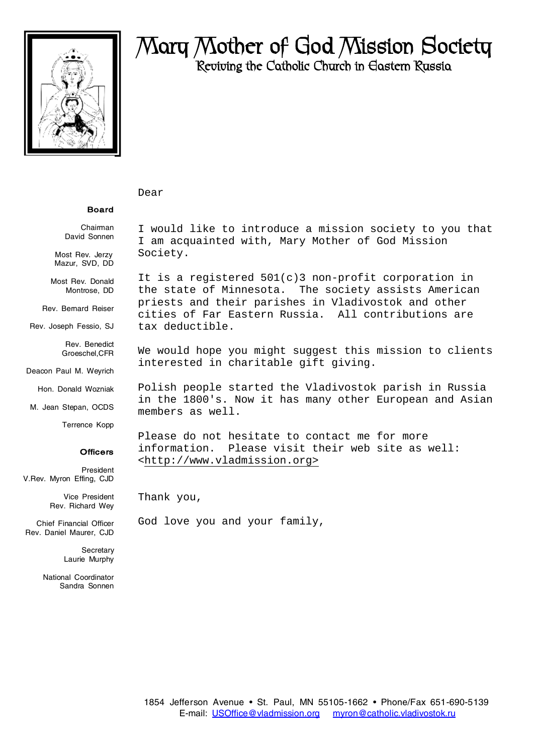

# **Mary Mother of God Mission Society Reviving the Catholic Church in Eastern Russia**

#### Dear

#### **Board**

Chairman David Sonnen

Most Rev. Jerzy. Mazur, SVD, DD

Most Rev. Donald Montrose, DD

Rev. Bernard Reiser

Rev. Joseph Fessio, SJ

Rev. Benedict Groeschel,CFR

Deacon Paul M. Weyrich

Hon. Donald Wozniak

M. Jean Stepan, OCDS

Terrence Kopp

#### **Officers**

President V.Rev. Myron Effing, CJD

> Vice President Rev. Richard Wey

Chief Financial Officer Rev. Daniel Maurer, CJD

> **Secretary** Laurie Murphy

National Coordinator Sandra Sonnen

I would like to introduce a mission society to you that I am acquainted with, Mary Mother of God Mission Society.

It is a registered 501(c)3 non-profit corporation in the state of Minnesota. The society assists American priests and their parishes in Vladivostok and other cities of Far Eastern Russia. All contributions are tax deductible.

We would hope you might suggest this mission to clients interested in charitable gift giving.

Polish people started the Vladivostok parish in Russia in the 1800's. Now it has many other European and Asian members as well.

Please do not hesitate to contact me for more information. Please visit their web site as well: [<http://www.vladmission.org>](http://www.vladmission.org>)

Thank you,

God love you and your family,